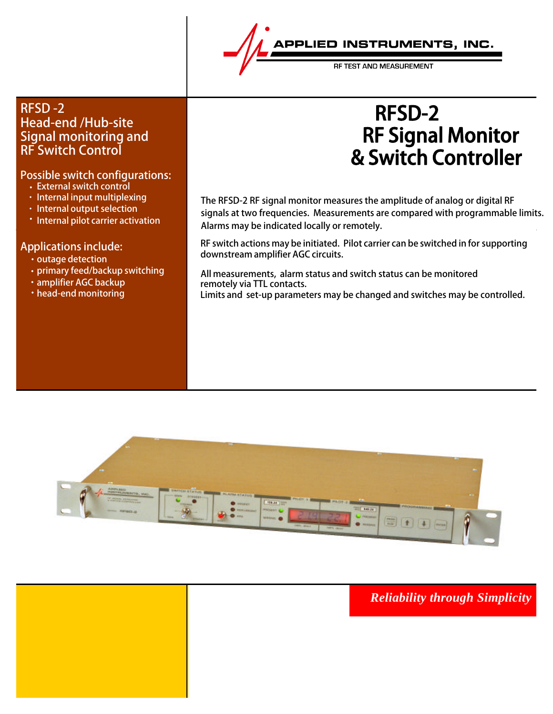

RE TEST AND MEASUREMEN

## RFSD -2 Head-end /Hub-site Signal monitoring and RF Switch Control

## Possible switch configurations:

- External switch control
- · Internal input multiplexing
- · Internal output selection
- Internal pilot carrier activation

### Applications include:

- outage detection
- primary feed/backup switching
- amplifier AGC backup
- head-end monitoring

## RF Signal Monitor & Switch Controller **For** RFSD-2

The RFSD-2 RF signal monitor measures the amplitude of analog or digital RF signals at two frequencies. Measurements are compared with programmable limits. Alarms may be indicated locally or remotely.

RF switch actions may be initiated. Pilot carrier can be switched in for supporting downstream amplifier AGC circuits.

 All measurements, alarm status and switch status can be monitored remotely via TTL contacts.

Limits and set-up parameters may be changed and switches may be controlled.